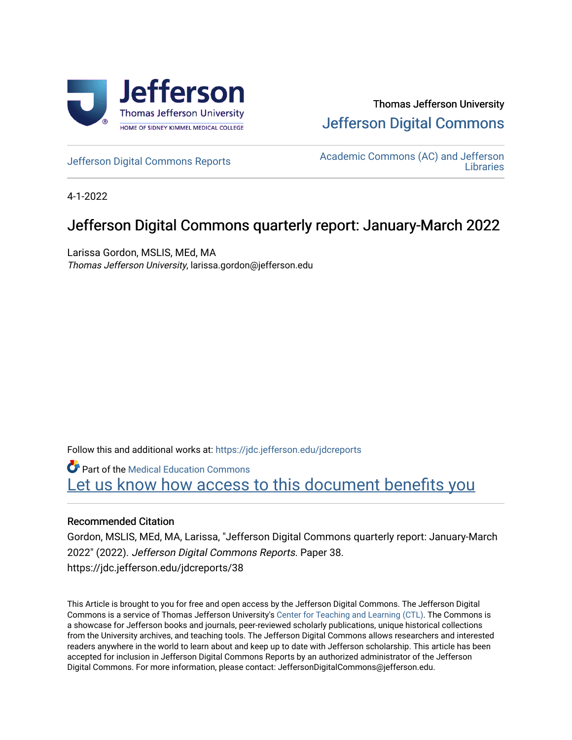

# Thomas Jefferson University [Jefferson Digital Commons](https://jdc.jefferson.edu/)

[Jefferson Digital Commons Reports](https://jdc.jefferson.edu/jdcreports) [Academic Commons \(AC\) and Jefferson](https://jdc.jefferson.edu/library)  **Libraries** 

4-1-2022

# Jefferson Digital Commons quarterly report: January-March 2022

Larissa Gordon, MSLIS, MEd, MA Thomas Jefferson University, larissa.gordon@jefferson.edu

Follow this and additional works at: [https://jdc.jefferson.edu/jdcreports](https://jdc.jefferson.edu/jdcreports?utm_source=jdc.jefferson.edu%2Fjdcreports%2F38&utm_medium=PDF&utm_campaign=PDFCoverPages)

**Part of the Medical Education Commons** Let us know how access to this document benefits you

### Recommended Citation

Gordon, MSLIS, MEd, MA, Larissa, "Jefferson Digital Commons quarterly report: January-March 2022" (2022). Jefferson Digital Commons Reports. Paper 38. https://jdc.jefferson.edu/jdcreports/38

This Article is brought to you for free and open access by the Jefferson Digital Commons. The Jefferson Digital Commons is a service of Thomas Jefferson University's [Center for Teaching and Learning \(CTL\)](http://www.jefferson.edu/university/teaching-learning.html/). The Commons is a showcase for Jefferson books and journals, peer-reviewed scholarly publications, unique historical collections from the University archives, and teaching tools. The Jefferson Digital Commons allows researchers and interested readers anywhere in the world to learn about and keep up to date with Jefferson scholarship. This article has been accepted for inclusion in Jefferson Digital Commons Reports by an authorized administrator of the Jefferson Digital Commons. For more information, please contact: JeffersonDigitalCommons@jefferson.edu.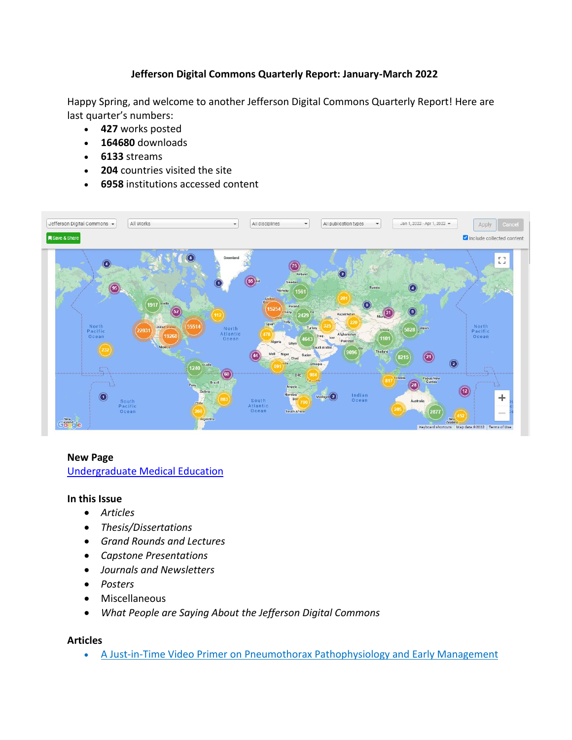## **Jefferson Digital Commons Quarterly Report: January-March 2022**

Happy Spring, and welcome to another Jefferson Digital Commons Quarterly Report! Here are last quarter's numbers:

- **427** works posted
- **164680** downloads
- **6133** streams
- **204** countries visited the site
- **6958** institutions accessed content



#### **New Page**

#### [Undergraduate Medical Education](https://jdc.jefferson.edu/ume/)

#### **In this Issue**

- *Articles*
- *Thesis/Dissertations*
- *Grand Rounds and Lectures*
- *Capstone Presentations*
- *Journals and Newsletters*
- *Posters*
- Miscellaneous
- *What People are Saying About the Jefferson Digital Commons*

#### **Articles**

• A Just-in-Time Video Primer on Pneumothorax [Pathophysiology](https://jdc.jefferson.edu/emfp/179) and Early Management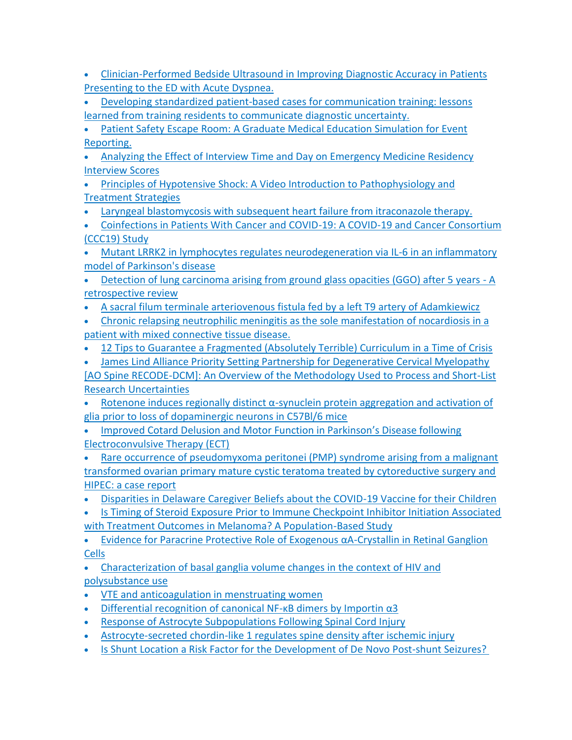- [Clinician-Performed](https://jdc.jefferson.edu/emfp/178) Bedside Ultrasound in Improving Diagnostic Accuracy in Patients [Presenting](https://jdc.jefferson.edu/emfp/178) to the ED with Acute Dyspnea.
- Developing standardized patient-based cases for [communication](https://jdc.jefferson.edu/emfp/177) training: lessons learned from training residents to [communicate](https://jdc.jefferson.edu/emfp/177) diagnostic uncertainty.

• Patient Safety Escape Room: A Graduate Medical Education [Simulation](https://jdc.jefferson.edu/emfp/176) for Event [Reporting.](https://jdc.jefferson.edu/emfp/176)

• [Analyzing the Effect of Interview Time and Day on Emergency Medicine Residency](https://jdc.jefferson.edu/emfp/175)  [Interview Scores](https://jdc.jefferson.edu/emfp/175)

- [Principles of Hypotensive Shock: A Video Introduction to Pathophysiology and](https://jdc.jefferson.edu/emfp/174)  [Treatment Strategies](https://jdc.jefferson.edu/emfp/174)
- [Laryngeal blastomycosis with subsequent heart failure from itraconazole therapy.](https://jdc.jefferson.edu/medfp/346)
- Coinfections in Patients With Cancer and COVID-19: A COVID-19 and Cancer Consortium (CCC19) Study

• Mutant LRRK2 in lymphocytes regulates neurodegeneration via IL-6 in an inflammatory [model of Parkinson's disease](https://jdc.jefferson.edu/department_neuroscience/65)

- [Detection of lung carcinoma arising from ground glass opacities \(GGO\) after 5 years -](https://jdc.jefferson.edu/surgeryfp/208) A [retrospective review](https://jdc.jefferson.edu/surgeryfp/208)
- [A sacral filum terminale arteriovenous fistula fed by a left T9 artery of Adamkiewicz](https://jdc.jefferson.edu/neurosurgeryfp/182)
- [Chronic relapsing neutrophilic meningitis as the sole manifestation of nocardiosis in a](https://jdc.jefferson.edu/neurosurgeryfp/181)  [patient with mixed connective tissue disease.](https://jdc.jefferson.edu/neurosurgeryfp/181)
- [12 Tips to Guarantee a Fragmented \(Absolutely Terrible\) Curriculum in a](https://jdc.jefferson.edu/phbfp/67) Time of Crisis

• [James Lind Alliance Priority Setting Partnership for Degenerative Cervical Myelopathy](https://jdc.jefferson.edu/neurosurgeryfp/180)  [\[AO Spine RECODE-DCM\]: An Overview of the Methodology Used to Process and Short-List](https://jdc.jefferson.edu/neurosurgeryfp/180) 

[Research Uncertainties](https://jdc.jefferson.edu/neurosurgeryfp/180)

- Rotenone induces regionally distinct α[-synuclein protein aggregation and activation of](https://jdc.jefferson.edu/department_neuroscience/64)  [glia prior to loss of dopaminergic neurons in C57Bl/6 mice](https://jdc.jefferson.edu/department_neuroscience/64)
- Improved Cotard [Delusion and Motor Function in Parkinson's Disease following](https://jdc.jefferson.edu/neurologyfp/279)  [Electroconvulsive Therapy \(ECT\)](https://jdc.jefferson.edu/neurologyfp/279)

Rare occurrence of pseudomyxoma peritonei (PMP) syndrome arising from a malignant transformed [ovarian primary mature cystic teratoma treated by cytoreductive surgery and](https://jdc.jefferson.edu/surgeryfp/207)  [HIPEC: a case report](https://jdc.jefferson.edu/surgeryfp/207)

• [Disparities in Delaware Caregiver Beliefs about the COVID-19 Vaccine for their Children](https://jdc.jefferson.edu/pedsfp/112)

• [Is Timing of Steroid Exposure Prior to Immune Checkpoint Inhibitor Initiation Associated](https://jdc.jefferson.edu/medoncfp/179)  [with Treatment Outcomes in Melanoma? A Population-Based Study](https://jdc.jefferson.edu/medoncfp/179)

• [Evidence for Paracrine Protective Role of Exogenous αA](https://jdc.jefferson.edu/bmpfp/210)-Crystallin in Retinal Ganglion [Cells](https://jdc.jefferson.edu/bmpfp/210)

• [Characterization of basal ganglia volume changes in the context of HIV and](https://jdc.jefferson.edu/medfp/345)  [polysubstance use](https://jdc.jefferson.edu/medfp/345)

- [VTE and anticoagulation in menstruating women](https://jdc.jefferson.edu/medfp/344)
- [Differential recognition of canonical NF-](https://jdc.jefferson.edu/bmpfp/209) $\kappa$ B dimers by Importin  $\alpha$ 3
- [Response of Astrocyte Subpopulations Following Spinal Cord Injury](https://jdc.jefferson.edu/department_neuroscience/63)
- [Astrocyte-secreted chordin-like 1 regulates spine density after ischemic injury](https://jdc.jefferson.edu/department_neuroscience/62)
- [Is Shunt Location a Risk Factor for the Development of De Novo Post-shunt Seizures?](Is%20Shunt%20Location%20a%20Risk%20Factor%20for%20the%20Development%20of%20De%20Novo%20Post-shunt%20Seizures?)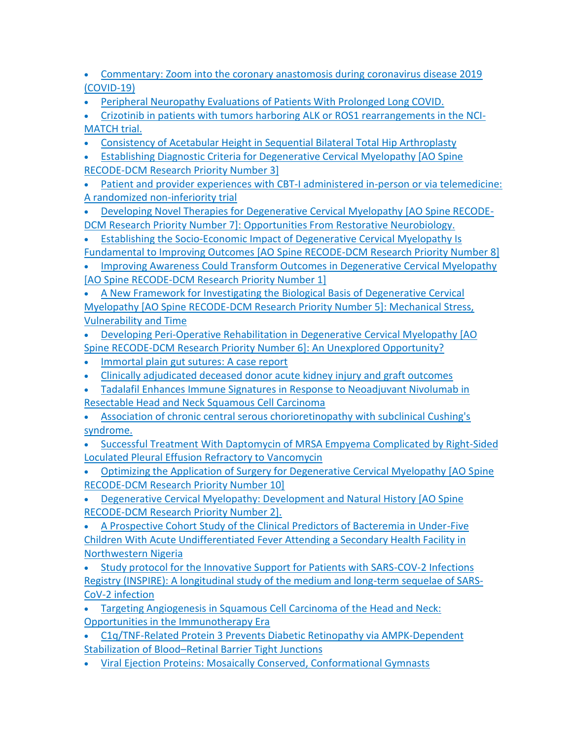- [Commentary: Zoom into the coronary anastomosis during coronavirus disease 2019](https://jdc.jefferson.edu/cardiologyfp/96)  [\(COVID-19\)](https://jdc.jefferson.edu/cardiologyfp/96)
- [Peripheral Neuropathy Evaluations of Patients With Prolonged Long COVID.](https://jdc.jefferson.edu/neurologyfp/277/)

• [Crizotinib in patients with tumors harboring ALK or ROS1 rearrangements in the NCI-](https://jdc.jefferson.edu/medoncfp/178/)[MATCH trial.](https://jdc.jefferson.edu/medoncfp/178/)

- [Consistency of Acetabular Height in Sequential Bilateral Total Hip Arthroplasty](https://jdc.jefferson.edu/rothman_institute/165/)
- [Establishing Diagnostic Criteria for Degenerative Cervical Myelopathy \[AO Spine](https://jdc.jefferson.edu/neurosurgeryfp/179)  [RECODE-DCM Research Priority Number 3\]](https://jdc.jefferson.edu/neurosurgeryfp/179)
- [Patient and provider experiences with CBT-I administered in-person or via telemedicine:](https://jdc.jefferson.edu/healthpolicyfaculty/145)  [A randomized non-inferiority trial](https://jdc.jefferson.edu/healthpolicyfaculty/145)
- [Developing Novel Therapies for Degenerative Cervical Myelopathy \[AO Spine RECODE-](https://jdc.jefferson.edu/neurosurgeryfp/178)[DCM Research Priority Number 7\]: Opportunities From Restorative Neurobiology.](https://jdc.jefferson.edu/neurosurgeryfp/178)
- [Establishing the Socio-Economic Impact of Degenerative Cervical Myelopathy Is](https://jdc.jefferson.edu/orthofp/171)  [Fundamental to Improving Outcomes \[AO Spine RECODE-DCM Research Priority Number 8\]](https://jdc.jefferson.edu/orthofp/171)

• [Improving Awareness Could Transform Outcomes in Degenerative Cervical Myelopathy](https://jdc.jefferson.edu/orthofp/170)  [\[AO Spine RECODE-DCM Research Priority Number 1\]](https://jdc.jefferson.edu/orthofp/170)

• [A New Framework for Investigating the Biological Basis of Degenerative Cervical](https://jdc.jefferson.edu/neurosurgeryfp/177)  [Myelopathy \[AO Spine RECODE-DCM Research Priority Number 5\]: Mechanical Stress,](https://jdc.jefferson.edu/neurosurgeryfp/177)  [Vulnerability and Time](https://jdc.jefferson.edu/neurosurgeryfp/177)

- [Developing Peri-Operative Rehabilitation in Degenerative Cervical Myelopathy \[AO](https://jdc.jefferson.edu/neurosurgeryfp/176)  [Spine RECODE-DCM Research Priority Number 6\]: An Unexplored Opportunity?](https://jdc.jefferson.edu/neurosurgeryfp/176)
- [Immortal plain gut sutures: A case report](https://jdc.jefferson.edu/willsfp/152)
- [Clinically adjudicated deceased donor acute kidney injury and graft outcomes](https://jdc.jefferson.edu/medfp/343)
- [Tadalafil Enhances Immune Signatures in Response to Neoadjuvant Nivolumab in](https://jdc.jefferson.edu/otofp/62)  [Resectable Head and Neck Squamous Cell Carcinoma](https://jdc.jefferson.edu/otofp/62)
- [Association of chronic central serous chorioretinopathy with subclinical Cushing's](https://jdc.jefferson.edu/willsfp/151)  [syndrome.](https://jdc.jefferson.edu/willsfp/151)
- [Successful Treatment With Daptomycin of MRSA Empyema Complicated by Right-Sided](https://jdc.jefferson.edu/internalfp/48)  [Loculated Pleural Effusion Refractory to Vancomycin](https://jdc.jefferson.edu/internalfp/48)
- [Optimizing the Application of Surgery for Degenerative Cervical Myelopathy \[AO Spine](https://jdc.jefferson.edu/neurosurgeryfp/175)  [RECODE-DCM Research Priority Number 10\]](https://jdc.jefferson.edu/neurosurgeryfp/175)

• [Degenerative Cervical Myelopathy: Development and Natural History \[AO Spine](https://jdc.jefferson.edu/neurosurgeryfp/174)  [RECODE-DCM Research Priority Number 2\].](https://jdc.jefferson.edu/neurosurgeryfp/174)

• [A Prospective Cohort Study of the Clinical Predictors of Bacteremia in Under-Five](https://jdc.jefferson.edu/petfp/141)  [Children With Acute Undifferentiated Fever Attending a Secondary Health Facility in](https://jdc.jefferson.edu/petfp/141)  [Northwestern Nigeria](https://jdc.jefferson.edu/petfp/141)

• [Study protocol for the Innovative Support for Patients with SARS-COV-2 Infections](https://jdc.jefferson.edu/emfp/173)  [Registry \(INSPIRE\): A longitudinal study of the medium and long-term sequelae of SARS-](https://jdc.jefferson.edu/emfp/173)[CoV-2 infection](https://jdc.jefferson.edu/emfp/173)

- [Targeting Angiogenesis in Squamous Cell Carcinoma of the Head and Neck:](https://jdc.jefferson.edu/medoncfp/177)  [Opportunities in the Immunotherapy Era](https://jdc.jefferson.edu/medoncfp/177)
- [C1q/TNF-Related Protein 3 Prevents Diabetic Retinopathy via AMPK-Dependent](https://jdc.jefferson.edu/medfp/342)  Stabilization of Blood–[Retinal Barrier Tight Junctions](https://jdc.jefferson.edu/medfp/342)
- [Viral Ejection Proteins: Mosaically Conserved, Conformational Gymnasts](https://jdc.jefferson.edu/bmpfp/208)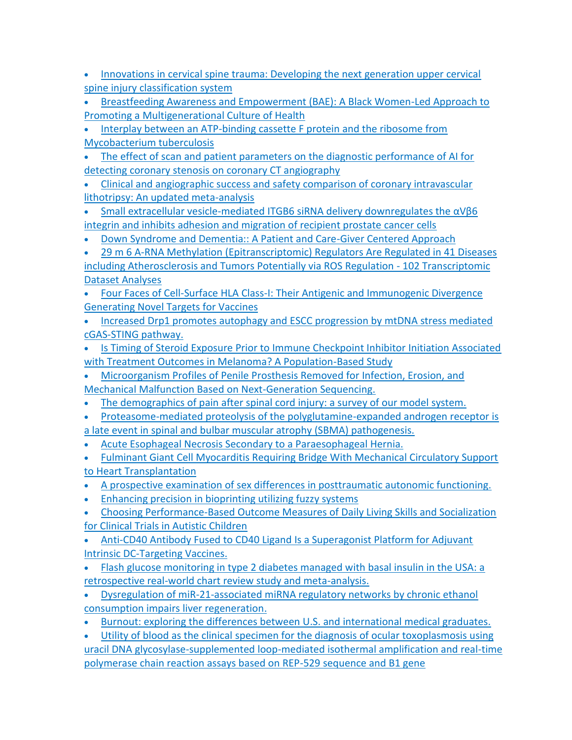- [Innovations in cervical spine trauma: Developing the next generation upper cervical](https://jdc.jefferson.edu/rothman_institute/164)  [spine injury classification system](https://jdc.jefferson.edu/rothman_institute/164)
- [Breastfeeding Awareness and Empowerment \(BAE\): A Black Women-Led Approach to](https://jdc.jefferson.edu/nursfp/114)  [Promoting a Multigenerational Culture of Health](https://jdc.jefferson.edu/nursfp/114)
- [Interplay between an ATP-binding cassette F protein and the ribosome from](https://jdc.jefferson.edu/bmpfp/207)  [Mycobacterium tuberculosis](https://jdc.jefferson.edu/bmpfp/207)
- The effect of scan and patient parameters on the diagnostic performance of AI for [detecting coronary stenosis on coronary CT angiography](https://jdc.jefferson.edu/internalfp/47)
- [Clinical and angiographic success and safety comparison of coronary intravascular](https://jdc.jefferson.edu/medfp/341)  [lithotripsy: An updated meta-analysis](https://jdc.jefferson.edu/medfp/341)
- Small extracellular vesicle-mediated ITGB6 siRNA delivery downregulates the  $α$ Vβ6 [integrin and inhibits adhesion and migration of recipient prostate cancer cells](https://jdc.jefferson.edu/cbfp/190)
- [Down Syndrome and Dementia:: A Patient and Care-Giver Centered Approach](https://jdc.jefferson.edu/otfp/84/)
- [29 m 6 A-RNA Methylation \(Epitranscriptomic\) Regulators Are Regulated in 41 Diseases](https://jdc.jefferson.edu/transmedfp/97)  [including Atherosclerosis and Tumors Potentially via ROS Regulation -](https://jdc.jefferson.edu/transmedfp/97) 102 Transcriptomic [Dataset Analyses](https://jdc.jefferson.edu/transmedfp/97)
- [Four Faces of Cell-Surface HLA Class-I: Their Antigenic and Immunogenic Divergence](https://jdc.jefferson.edu/medfp/340)  [Generating Novel Targets for Vaccines](https://jdc.jefferson.edu/medfp/340)
- [Increased Drp1 promotes autophagy and ESCC progression by mtDNA stress mediated](https://jdc.jefferson.edu/medoncfp/176)  [cGAS-STING pathway.](https://jdc.jefferson.edu/medoncfp/176)
- [Is Timing of Steroid Exposure Prior to Immune Checkpoint Inhibitor Initiation Associated](https://jdc.jefferson.edu/medoncfp/175)  [with Treatment Outcomes in Melanoma? A Population-Based Study](https://jdc.jefferson.edu/medoncfp/175)
- [Microorganism Profiles of Penile Prosthesis Removed for Infection, Erosion, and](https://jdc.jefferson.edu/urologyfp/68)  [Mechanical Malfunction Based on Next-Generation Sequencing.](https://jdc.jefferson.edu/urologyfp/68)
- [The demographics of pain after spinal cord injury: a survey of our model system.](https://jdc.jefferson.edu/anfp/78)
- [Proteasome-mediated proteolysis of the polyglutamine-expanded androgen receptor is](https://jdc.jefferson.edu/bmpfp/206)
- [a late event in spinal and bulbar muscular atrophy \(SBMA\) pathogenesis.](https://jdc.jefferson.edu/bmpfp/206)
- [Acute Esophageal Necrosis Secondary to a Paraesophageal Hernia.](https://jdc.jefferson.edu/medfp/339)
- [Fulminant Giant Cell Myocarditis Requiring Bridge With Mechanical Circulatory Support](https://jdc.jefferson.edu/cardiologyfp/95)  [to Heart Transplantation](https://jdc.jefferson.edu/cardiologyfp/95)
- [A prospective examination of sex differences in posttraumatic autonomic functioning.](https://jdc.jefferson.edu/emfp/170)
- [Enhancing precision in bioprinting utilizing fuzzy systems](https://jdc.jefferson.edu/orthofp/167)
- [Choosing Performance-Based Outcome Measures of Daily Living Skills and Socialization](http://jdc.jefferson.edu/otfp/83)  [for Clinical Trials in Autistic Children](http://jdc.jefferson.edu/otfp/83)
- [Anti-CD40 Antibody Fused to CD40 Ligand Is a Superagonist Platform for Adjuvant](http://jdc.jefferson.edu/mifp/155)  [Intrinsic DC-Targeting Vaccines.](http://jdc.jefferson.edu/mifp/155)
- [Flash glucose monitoring in type 2 diabetes managed with basal insulin in the USA: a](http://jdc.jefferson.edu/endocrinologyfp/5)  [retrospective real-world chart review study and meta-analysis.](http://jdc.jefferson.edu/endocrinologyfp/5)
- Dysregulation of miR-21-associated miRNA regulatory networks by chronic ethanol consumption impairs liver regeneration.
- [Burnout: exploring the differences between U.S. and international medical graduates.](https://jdc.jefferson.edu/surgeryfp/206)

• [Utility of blood as the clinical specimen for the diagnosis of ocular toxoplasmosis using](https://jdc.jefferson.edu/willsfp/149)  [uracil DNA glycosylase-supplemented loop-mediated isothermal amplification and real-time](https://jdc.jefferson.edu/willsfp/149)  [polymerase chain reaction assays based on REP-529 sequence and B1 gene](https://jdc.jefferson.edu/willsfp/149)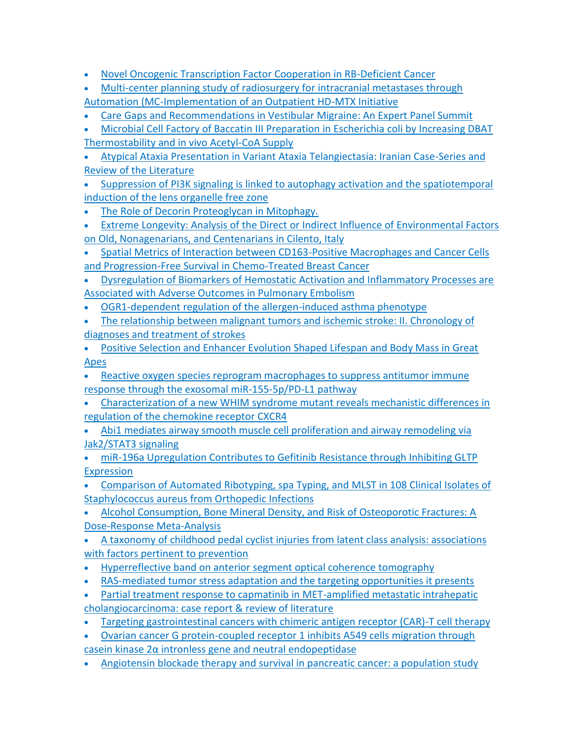- [Novel Oncogenic Transcription Factor Cooperation in RB-Deficient Cancer](https://jdc.jefferson.edu/cbfp/186/)
- [Multi-center planning study of radiosurgery for intracranial metastases through](https://jdc.jefferson.edu/radoncfp/162)  Automation [\(MC-Implementation of an Outpatient HD-MTX Initiative](https://jdc.jefferson.edu/radoncfp/162)
- [Care Gaps and Recommendations in Vestibular Migraine: An Expert Panel Summit](https://jdc.jefferson.edu/neurologyfp/275/)

• Microbial Cell Factory of Baccatin III Preparation in Escherichia coli by Increasing DBAT [Thermostability and in vivo Acetyl-CoA Supply](http://jdc.jefferson.edu/pacbfp/347)

• [Atypical Ataxia Presentation in Variant Ataxia Telangiectasia: Iranian Case-Series and](http://jdc.jefferson.edu/neurologyfp/274)  [Review of the Literature](http://jdc.jefferson.edu/neurologyfp/274)

• [Suppression of PI3K signaling is linked to autophagy activation and the spatiotemporal](http://jdc.jefferson.edu/pacbfp/346)  [induction of the lens organelle free zone](http://jdc.jefferson.edu/pacbfp/346)

- [The Role of Decorin Proteoglycan in Mitophagy.](https://jdc.jefferson.edu/pacbfp/345/)
- [Extreme Longevity: Analysis of the Direct or Indirect Influence of Environmental Factors](https://jdc.jefferson.edu/medfp/334/)  [on Old, Nonagenarians, and Centenarians in Cilento, Italy](https://jdc.jefferson.edu/medfp/334/)

• [Spatial Metrics of Interaction between CD163-Positive Macrophages and Cancer Cells](https://jdc.jefferson.edu/petfp/139/)  [and Progression-Free Survival in Chemo-Treated Breast Cancer](https://jdc.jefferson.edu/petfp/139/)

• [Dysregulation of Biomarkers of Hemostatic Activation and Inflammatory Processes are](https://jdc.jefferson.edu/cardiologyfp/94/)  [Associated with Adverse Outcomes in Pulmonary Embolism](https://jdc.jefferson.edu/cardiologyfp/94/)

• [OGR1-dependent regulation of the allergen-induced asthma phenotype](http://jdc.jefferson.edu/pulmcritcarefp/22)

• [The relationship between malignant tumors and ischemic stroke: II. Chronology of](http://jdc.jefferson.edu/medfp/335)  [diagnoses and treatment of strokes](http://jdc.jefferson.edu/medfp/335)

• [Positive Selection and Enhancer Evolution Shaped Lifespan and Body Mass in Great](http://jdc.jefferson.edu/bmpfp/204)  [Apes](http://jdc.jefferson.edu/bmpfp/204)

• [Reactive oxygen species reprogram macrophages to suppress antitumor immune](http://jdc.jefferson.edu/pacbfp/350)  [response through the exosomal miR-155-5p/PD-L1 pathway](http://jdc.jefferson.edu/pacbfp/350)

• [Characterization of a new WHIM syndrome mutant reveals mechanistic differences in](http://jdc.jefferson.edu/bmpfp/203)  [regulation of the chemokine receptor CXCR4](http://jdc.jefferson.edu/bmpfp/203)

• [Abi1 mediates airway smooth muscle cell proliferation and airway remodeling via](http://jdc.jefferson.edu/transmedfp/94)  [Jak2/STAT3 signaling](http://jdc.jefferson.edu/transmedfp/94)

• [miR-196a Upregulation Contributes to Gefitinib Resistance through Inhibiting GLTP](http://jdc.jefferson.edu/pacbfp/349)  **[Expression](http://jdc.jefferson.edu/pacbfp/349)** 

• [Comparison of Automated Ribotyping, spa Typing, and MLST in 108 Clinical Isolates of](http://jdc.jefferson.edu/rothman_institute/160)  [Staphylococcus aureus from Orthopedic Infections](http://jdc.jefferson.edu/rothman_institute/160)

• [Alcohol Consumption, Bone Mineral Density, and Risk of Osteoporotic Fractures: A](http://jdc.jefferson.edu/rothman_institute/159)  [Dose-Response Meta-Analysis](http://jdc.jefferson.edu/rothman_institute/159)

• [A taxonomy of childhood pedal cyclist injuries from latent class analysis: associations](http://jdc.jefferson.edu/neurosurgeryfp/172)  [with factors pertinent to prevention](http://jdc.jefferson.edu/neurosurgeryfp/172)

- [Hyperreflective band on anterior segment optical coherence tomography](http://jdc.jefferson.edu/willsfp/150)
- [RAS-mediated tumor stress adaptation and the targeting opportunities it presents](http://jdc.jefferson.edu/cbfp/187)
- [Partial treatment response to capmatinib in MET-amplified metastatic intrahepatic](https://jdc.jefferson.edu/medoncfp/171/)  [cholangiocarcinoma: case report & review of literature](https://jdc.jefferson.edu/medoncfp/171/)
- [Targeting gastrointestinal cancers with chimeric antigen receptor \(CAR\)-T cell therapy](http://jdc.jefferson.edu/petfp/140)

• [Ovarian cancer G protein-coupled receptor 1 inhibits A549 cells migration through](http://jdc.jefferson.edu/transmedfp/93)  [casein kinase 2α intronless gene and neutral endopeptidase](http://jdc.jefferson.edu/transmedfp/93)

• [Angiotensin blockade therapy and survival in pancreatic cancer: a population study](http://jdc.jefferson.edu/healthpolicyfaculty/143)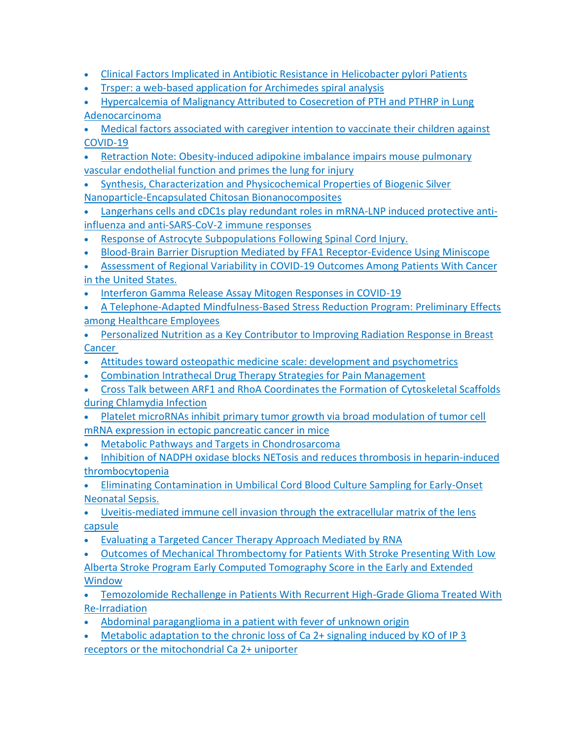- [Clinical Factors Implicated in Antibiotic Resistance in Helicobacter pylori Patients](http://jdc.jefferson.edu/internalfp/46)
- [Trsper: a web-based application for Archimedes spiral analysis](http://jdc.jefferson.edu/neurologyfp/263)
- [Hypercalcemia of Malignancy Attributed to Cosecretion of PTH and PTHRP in Lung](http://jdc.jefferson.edu/medoncfp/172)  [Adenocarcinoma](http://jdc.jefferson.edu/medoncfp/172)

• [Medical factors associated with caregiver intention to vaccinate their children against](http://jdc.jefferson.edu/medfp/337)  [COVID-19](http://jdc.jefferson.edu/medfp/337)

- [Retraction Note: Obesity-induced adipokine imbalance impairs mouse pulmonary](http://jdc.jefferson.edu/transmedfp/95)  [vascular endothelial function and primes the lung for injury](http://jdc.jefferson.edu/transmedfp/95)
- [Synthesis, Characterization and Physicochemical Properties of Biogenic Silver](http://jdc.jefferson.edu/medfp/336)  [Nanoparticle-Encapsulated Chitosan Bionanocomposites](http://jdc.jefferson.edu/medfp/336)
- [Langerhans cells and cDC1s play redundant roles in mRNA-LNP induced protective anti](http://jdc.jefferson.edu/mifp/156)[influenza and anti-SARS-CoV-2 immune responses](http://jdc.jefferson.edu/mifp/156)
- [Response of Astrocyte Subpopulations Following Spinal Cord Injury.](https://jdc.jefferson.edu/farberneursofp/42)
- [Blood-Brain Barrier Disruption Mediated by FFA1 Receptor-Evidence Using Miniscope](https://jdc.jefferson.edu/pharmacyfp/50)
- [Assessment of Regional Variability in COVID-19 Outcomes Among Patients With Cancer](https://jdc.jefferson.edu/kimmelccfp/86/)  [in the United States.](https://jdc.jefferson.edu/kimmelccfp/86/)
- [Interferon Gamma Release Assay Mitogen Responses in COVID-19](https://jdc.jefferson.edu/pacbfp/348/)
- [A Telephone-Adapted Mindfulness-Based Stress Reduction Program: Preliminary Effects](https://jdc.jefferson.edu/jmbcimfp/24/)  [among Healthcare Employees](https://jdc.jefferson.edu/jmbcimfp/24/)
- [Personalized Nutrition as a Key Contributor to Improving Radiation Response in Breast](https://jdc.jefferson.edu/radoncfp/159)  **[Cancer](https://jdc.jefferson.edu/radoncfp/159)**
- [Attitudes toward osteopathic medicine scale: development and psychometrics](https://jdc.jefferson.edu/medfp/330)
- Combination Intrathecal Drug Therapy Strategies for Pain Management
- [Cross Talk between ARF1 and RhoA Coordinates the Formation of Cytoskeletal Scaffolds](https://jdc.jefferson.edu/mifp/154)  [during Chlamydia Infection](https://jdc.jefferson.edu/mifp/154)
- Platelet microRNAs inhibit primary tumor growth via broad modulation of tumor cell mRNA expression in ectopic pancreatic cancer in mice
- [Metabolic Pathways and Targets in Chondrosarcoma](https://jdc.jefferson.edu/medoncfp/169)
- Inhibition of NADPH oxidase blocks NETosis and reduces thrombosis in heparin-induced thrombocytopenia
- [Eliminating Contamination in Umbilical Cord Blood Culture Sampling for Early-Onset](https://jdc.jefferson.edu/medfp/328/)  [Neonatal Sepsis.](https://jdc.jefferson.edu/medfp/328/)
- [Uveitis-mediated immune cell invasion through the extracellular matrix of the lens](https://jdc.jefferson.edu/pacbfp/338/)  [capsule](https://jdc.jefferson.edu/pacbfp/338/)
- [Evaluating a Targeted Cancer Therapy Approach Mediated by RNA](https://jdc.jefferson.edu/dcbfp/158)
- [Outcomes of Mechanical Thrombectomy for Patients With Stroke Presenting With Low](https://jdc.jefferson.edu/neurosurgeryfp/171)
- [Alberta Stroke Program Early Computed Tomography Score in the Early and Extended](https://jdc.jefferson.edu/neurosurgeryfp/171)  **[Window](https://jdc.jefferson.edu/neurosurgeryfp/171)**
- [Temozolomide Rechallenge in Patients With Recurrent High-Grade Glioma Treated With](https://jdc.jefferson.edu/neurosurgeryfp/170)  [Re-Irradiation](https://jdc.jefferson.edu/neurosurgeryfp/170)
- Abdominal paraganglioma in a [patient with fever of unknown origin](https://jdc.jefferson.edu/medfp/331)
- [Metabolic adaptation to the chronic loss of Ca 2+ signaling induced by KO of IP 3](https://jdc.jefferson.edu/pacbfp/339)  [receptors or the mitochondrial Ca 2+ uniporter](https://jdc.jefferson.edu/pacbfp/339)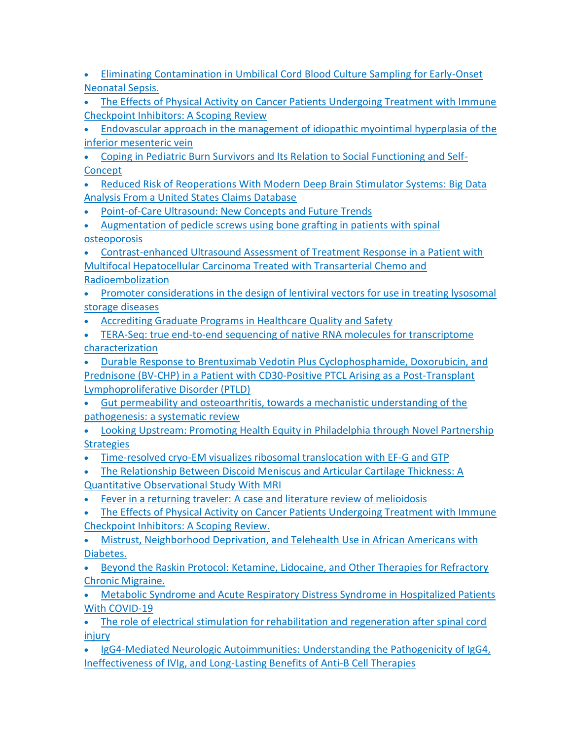- [Eliminating Contamination in Umbilical Cord Blood Culture Sampling for Early-Onset](https://jdc.jefferson.edu/pedsfp/111/)  [Neonatal Sepsis.](https://jdc.jefferson.edu/pedsfp/111/)
- The Effects of Physical Activity on Cancer Patients Undergoing Treatment with Immune [Checkpoint Inhibitors: A Scoping Review](https://jdc.jefferson.edu/cgi/viewcontent.cgi?article=1168&context=medoncfp)
- [Endovascular approach in the management of idiopathic myointimal hyperplasia of the](https://jdc.jefferson.edu/cgi/viewcontent.cgi?article=1349&context=medfp)  [inferior mesenteric vein](https://jdc.jefferson.edu/cgi/viewcontent.cgi?article=1349&context=medfp)
- [Coping in Pediatric Burn Survivors and Its Relation to Social Functioning and Self-](https://jdc.jefferson.edu/cgi/viewcontent.cgi?article=1113&context=pedsfp)[Concept](https://jdc.jefferson.edu/cgi/viewcontent.cgi?article=1113&context=pedsfp)
- [Reduced Risk of Reoperations With Modern Deep Brain Stimulator Systems: Big Data](https://jdc.jefferson.edu/cgi/viewcontent.cgi?article=1173&context=neurosurgeryfp)  [Analysis From a United States Claims Database](https://jdc.jefferson.edu/cgi/viewcontent.cgi?article=1173&context=neurosurgeryfp)
- [Point-of-Care Ultrasound: New Concepts and Future Trends](https://jdc.jefferson.edu/cgi/viewcontent.cgi?article=1119&context=radiologyfp)
- [Augmentation of pedicle screws using bone grafting in patients with spinal](https://jdc.jefferson.edu/neurosurgeryfp/168)  [osteoporosis](https://jdc.jefferson.edu/neurosurgeryfp/168)

• [Contrast-enhanced Ultrasound Assessment of Treatment Response in a Patient with](https://jdc.jefferson.edu/cgi/viewcontent.cgi?article=1118&context=radiologyfp) [Multifocal Hepatocellular Carcinoma Treated with Transarterial Chemo and](https://jdc.jefferson.edu/cgi/viewcontent.cgi?article=1118&context=radiologyfp)  [Radioembolization](https://jdc.jefferson.edu/cgi/viewcontent.cgi?article=1118&context=radiologyfp)

- [Promoter considerations in the design of lentiviral vectors for use in treating lysosomal](https://jdc.jefferson.edu/cgi/viewcontent.cgi?article=1112&context=pedsfp)  [storage diseases](https://jdc.jefferson.edu/cgi/viewcontent.cgi?article=1112&context=pedsfp)
- [Accrediting Graduate Programs in Healthcare Quality and Safety](https://jdc.jefferson.edu/cgi/viewcontent.cgi?article=1144&context=healthpolicyfaculty)
- [TERA-Seq: true end-to-end sequencing of native RNA molecules for transcriptome](https://jdc.jefferson.edu/cgi/viewcontent.cgi?article=1202&context=bmpfp)  [characterization](https://jdc.jefferson.edu/cgi/viewcontent.cgi?article=1202&context=bmpfp)

• [Durable Response to Brentuximab Vedotin Plus Cyclophosphamide, Doxorubicin, and](https://jdc.jefferson.edu/cgi/viewcontent.cgi?article=1167&context=medoncfp)  [Prednisone \(BV-CHP\) in a Patient with CD30-Positive PTCL Arising as a Post-Transplant](https://jdc.jefferson.edu/cgi/viewcontent.cgi?article=1167&context=medoncfp)  [Lymphoproliferative Disorder \(PTLD\)](https://jdc.jefferson.edu/cgi/viewcontent.cgi?article=1167&context=medoncfp)

• [Gut permeability and osteoarthritis, towards a mechanistic understanding of the](https://jdc.jefferson.edu/cgi/viewcontent.cgi?article=1155&context=rothman_institute)  [pathogenesis: a systematic review](https://jdc.jefferson.edu/cgi/viewcontent.cgi?article=1155&context=rothman_institute)

• [Looking Upstream: Promoting Health Equity in Philadelphia through Novel Partnership](https://jdc.jefferson.edu/cgi/viewcontent.cgi?article=1143&context=healthpolicyfaculty)  **[Strategies](https://jdc.jefferson.edu/cgi/viewcontent.cgi?article=1143&context=healthpolicyfaculty)** 

• [Time-resolved cryo-EM visualizes ribosomal translocation with EF-G and GTP](https://jdc.jefferson.edu/cgi/viewcontent.cgi?article=1201&context=bmpfp)

• [The Relationship Between Discoid Meniscus and Articular Cartilage Thickness: A](https://jdc.jefferson.edu/cgi/viewcontent.cgi?article=1154&context=rothman_institute)  [Quantitative Observational Study With MRI](https://jdc.jefferson.edu/cgi/viewcontent.cgi?article=1154&context=rothman_institute)

• Fever in a returning traveler: [A case and literature review of melioidosis](https://jdc.jefferson.edu/cgi/viewcontent.cgi?article=1011&context=didem)

• [The Effects of Physical Activity on Cancer Patients Undergoing Treatment with Immune](https://jdc.jefferson.edu/cgi/viewcontent.cgi?article=1166&context=medoncfp)  [Checkpoint Inhibitors: A Scoping Review.](https://jdc.jefferson.edu/cgi/viewcontent.cgi?article=1166&context=medoncfp)

• [Mistrust, Neighborhood Deprivation, and Telehealth Use in African Americans with](https://jdc.jefferson.edu/emfp/169/)  [Diabetes.](https://jdc.jefferson.edu/emfp/169/)

• [Beyond the Raskin Protocol: Ketamine, Lidocaine, and Other Therapies for Refractory](https://jdc.jefferson.edu/anfp/77/)  [Chronic Migraine.](https://jdc.jefferson.edu/anfp/77/)

• Metabolic Syndrome and Acute Respiratory Distress Syndrome in Hospitalized Patients With COVID-19

• The role of electrical stimulation for rehabilitation and regeneration after spinal cord injury

• [IgG4-Mediated Neurologic Autoimmunities: Understanding the Pathogenicity of IgG4,](https://jdc.jefferson.edu/neurologyfp/272/) [Ineffectiveness of IVIg, and Long-Lasting Benefits of Anti-B Cell Therapies](https://jdc.jefferson.edu/neurologyfp/272/)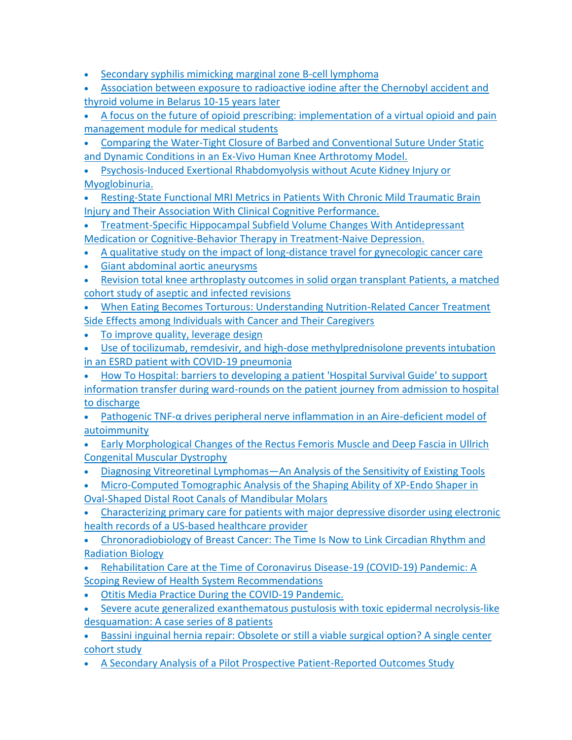- [Secondary syphilis mimicking marginal zone B-cell lymphoma](https://jdc.jefferson.edu/dcbfp/159/)
- [Association between exposure to radioactive iodine after the Chernobyl accident and](https://jdc.jefferson.edu/radiologyfp/118)  [thyroid volume in Belarus 10-](https://jdc.jefferson.edu/radiologyfp/118)15 years later
- [A focus on the future of opioid prescribing: implementation of a virtual opioid and pain](https://jdc.jefferson.edu/healthpolicyfaculty/139)  [management module for medical students](https://jdc.jefferson.edu/healthpolicyfaculty/139)
- Comparing the Water-Tight Closure of Barbed and Conventional Suture Under Static and Dynamic Conditions in an Ex-Vivo Human Knee Arthrotomy Model.
- [Psychosis-Induced Exertional Rhabdomyolysis](https://jdc.jefferson.edu/abingtonfp/68) without Acute Kidney Injury or [Myoglobinuria.](https://jdc.jefferson.edu/abingtonfp/68)
- [Resting-State Functional MRI Metrics in Patients With Chronic Mild Traumatic Brain](https://jdc.jefferson.edu/rothman_institute/157/)  [Injury and Their Association With Clinical Cognitive Performance.](https://jdc.jefferson.edu/rothman_institute/157/)
- [Treatment-Specific Hippocampal Subfield Volume Changes With Antidepressant](https://jdc.jefferson.edu/department_neuroscience/60/)  [Medication or Cognitive-Behavior Therapy in Treatment-Naive Depression.](https://jdc.jefferson.edu/department_neuroscience/60/)
- [A qualitative study on the impact of long-distance travel for gynecologic cancer care](https://jdc.jefferson.edu/obgynfp/82)
- [Giant abdominal aortic aneurysms](https://jdc.jefferson.edu/surgeryfp/205)
- [Revision total knee arthroplasty outcomes in solid organ transplant Patients, a matched](https://jdc.jefferson.edu/rothman_institute/158)  [cohort study of aseptic and infected revisions](https://jdc.jefferson.edu/rothman_institute/158)
- [When Eating Becomes Torturous: Understanding Nutrition-Related Cancer Treatment](https://jdc.jefferson.edu/iehpfp/14)  [Side Effects among Individuals with Cancer and Their Caregivers](https://jdc.jefferson.edu/iehpfp/14)
- [To improve quality, leverage design](https://jdc.jefferson.edu/medfp/333)
- Use of tocilizumab, remdesivir, and high-dose methylprednisolone prevents intubation [in an ESRD patient with COVID-19 pneumonia](https://jdc.jefferson.edu/pharmacyfp/49)
- [How To Hospital: barriers to developing a patient 'Hospital Survival Guide' to support](https://jdc.jefferson.edu/healthpolicyfaculty/142)  [information transfer during ward-rounds on the patient journey from admission to hospital](https://jdc.jefferson.edu/healthpolicyfaculty/142)  [to discharge](https://jdc.jefferson.edu/healthpolicyfaculty/142)
- Pathogenic TNF- $\alpha$  drives peripheral nerve inflammation in an Aire-deficient model of [autoimmunity](https://jdc.jefferson.edu/neurologyfp/273)
- [Early Morphological Changes of the Rectus Femoris](https://jdc.jefferson.edu/medfp/332) Muscle and Deep Fascia in Ullrich [Congenital Muscular Dystrophy](https://jdc.jefferson.edu/medfp/332)
- Diagnosing Vitreoretinal Lymphomas—[An Analysis of the Sensitivity of Existing Tools](https://jdc.jefferson.edu/willsfp/148)
- [Micro-Computed Tomographic Analysis of the Shaping Ability of XP-Endo Shaper in](https://jdc.jefferson.edu/transmedfp/92)  [Oval-Shaped Distal Root Canals of Mandibular Molars](https://jdc.jefferson.edu/transmedfp/92)
- [Characterizing primary care for patients with major depressive disorder using electronic](https://jdc.jefferson.edu/healthpolicyfaculty/141)  [health records of a US-based healthcare provider](https://jdc.jefferson.edu/healthpolicyfaculty/141)
- [Chronoradiobiology of Breast Cancer: The Time Is Now to Link Circadian Rhythm and](https://jdc.jefferson.edu/radoncfp/160)  [Radiation Biology](https://jdc.jefferson.edu/radoncfp/160)
- [Rehabilitation Care at the Time of Coronavirus Disease-19 \(COVID-19\) Pandemic: A](https://jdc.jefferson.edu/healthpolicyfaculty/140)  [Scoping Review of Health System Recommendations](https://jdc.jefferson.edu/healthpolicyfaculty/140)
- [Otitis Media Practice During the COVID-19 Pandemic.](https://jdc.jefferson.edu/otofp/61)
- [Severe acute generalized exanthematous pustulosis with toxic epidermal necrolysis-like](https://jdc.jefferson.edu/dcbfp/161)  [desquamation: A case series of 8 patients](https://jdc.jefferson.edu/dcbfp/161)
- [Bassini inguinal hernia repair: Obsolete or still a viable surgical option? A single center](https://jdc.jefferson.edu/orthofp/166)  [cohort study](https://jdc.jefferson.edu/orthofp/166)
- [A Secondary Analysis of a Pilot Prospective Patient-Reported Outcomes Study](https://jdc.jefferson.edu/radoncfp/161)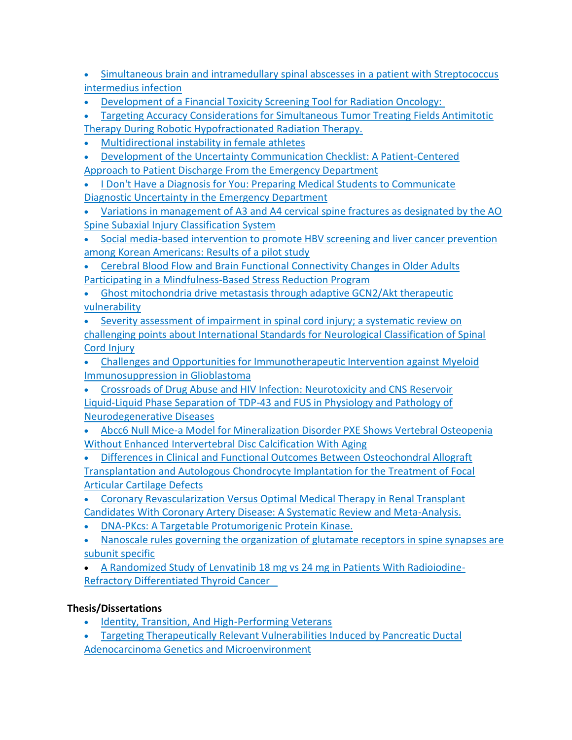- [Simultaneous brain and intramedullary spinal abscesses in a patient with Streptococcus](https://jdc.jefferson.edu/pacbfp/343)  [intermedius infection](https://jdc.jefferson.edu/pacbfp/343)
- [Development of a Financial Toxicity Screening Tool for Radiation Oncology:](https://jdc.jefferson.edu/radoncfp/161)

• [Targeting Accuracy Considerations for Simultaneous Tumor Treating Fields Antimitotic](https://jdc.jefferson.edu/jchpfp/6)  [Therapy During Robotic Hypofractionated Radiation Therapy.](https://jdc.jefferson.edu/jchpfp/6)

- [Multidirectional instability in female athletes](https://jdc.jefferson.edu/rothman_institute/161/)
- [Development of the Uncertainty Communication Checklist: A Patient-Centered](https://jdc.jefferson.edu/emfp/172)  [Approach to Patient Discharge From the Emergency Department](https://jdc.jefferson.edu/emfp/172)
- [I Don't Have a Diagnosis for You: Preparing Medical Students to Communicate](https://jdc.jefferson.edu/emfp/171)  [Diagnostic Uncertainty in the Emergency Department](https://jdc.jefferson.edu/emfp/171)
- Variations in management of A3 and A4 cervical spine fractures as designated by the AO [Spine Subaxial Injury Classification System](https://jdc.jefferson.edu/rothman_institute/162)
- [Social media-based intervention to promote HBV screening and liver cancer prevention](https://jdc.jefferson.edu/medoncfp/173)  [among Korean Americans: Results of a pilot study](https://jdc.jefferson.edu/medoncfp/173)
- [Cerebral Blood Flow and Brain Functional Connectivity Changes in Older Adults](https://jdc.jefferson.edu/radiologyfp/120)  [Participating in a Mindfulness-Based Stress Reduction Program](https://jdc.jefferson.edu/radiologyfp/120)
- Ghost mitochondria drive metastasis through adaptive GCN2/Akt therapeutic vulnerability
- [Severity assessment of impairment in spinal cord](https://jdc.jefferson.edu/orthofp/168) injury; a systematic review on [challenging points about International Standards for Neurological Classification of Spinal](https://jdc.jefferson.edu/orthofp/168)  [Cord Injury](https://jdc.jefferson.edu/orthofp/168)
- [Challenges and Opportunities for Immunotherapeutic Intervention against Myeloid](https://jdc.jefferson.edu/neurosurgeryfp/173)  [Immunosuppression in Glioblastoma](https://jdc.jefferson.edu/neurosurgeryfp/173)
- [Crossroads of Drug Abuse and HIV Infection: Neurotoxicity and CNS Reservoir](https://jdc.jefferson.edu/transmedfp/96) [Liquid-Liquid Phase Separation of TDP-43 and FUS in Physiology and Pathology of](https://jdc.jefferson.edu/bmpfp/205)  [Neurodegenerative Diseases](https://jdc.jefferson.edu/bmpfp/205)
- [Abcc6 Null Mice-a Model for Mineralization Disorder PXE Shows Vertebral Osteopenia](https://jdc.jefferson.edu/orthofp/169)  [Without Enhanced Intervertebral Disc Calcification With Aging](https://jdc.jefferson.edu/orthofp/169)
- [Differences in Clinical and Functional Outcomes Between Osteochondral Allograft](https://jdc.jefferson.edu/rothman_institute/163)  [Transplantation and Autologous Chondrocyte Implantation for the Treatment of Focal](https://jdc.jefferson.edu/rothman_institute/163)  [Articular Cartilage](https://jdc.jefferson.edu/rothman_institute/163) Defects
- [Coronary Revascularization Versus Optimal Medical Therapy in Renal Transplant](https://jdc.jefferson.edu/medfp/338)  [Candidates With Coronary Artery Disease: A Systematic Review and Meta-Analysis.](https://jdc.jefferson.edu/medfp/338)
- [DNA-PKcs: A Targetable Protumorigenic Protein Kinase.](https://jdc.jefferson.edu/cbfp/189)
- [Nanoscale rules governing the organization of glutamate receptors in spine synapses are](https://jdc.jefferson.edu/department_neuroscience/61)  [subunit specific](https://jdc.jefferson.edu/department_neuroscience/61)
- [A Randomized Study of Lenvatinib 18 mg vs 24 mg in Patients With Radioiodine-](https://jdc.jefferson.edu/medoncfp/174)[Refractory Differentiated Thyroid Cancer](https://jdc.jefferson.edu/medoncfp/174)

# **Thesis/Dissertations**

- [Identity, Transition, And High-Performing Veterans](https://jdc.jefferson.edu/diss_masters/22)
- [Targeting Therapeutically Relevant Vulnerabilities Induced by Pancreatic Ductal](https://jdc.jefferson.edu/dissertations/AAI27664947)  [Adenocarcinoma Genetics and Microenvironment](https://jdc.jefferson.edu/dissertations/AAI27664947)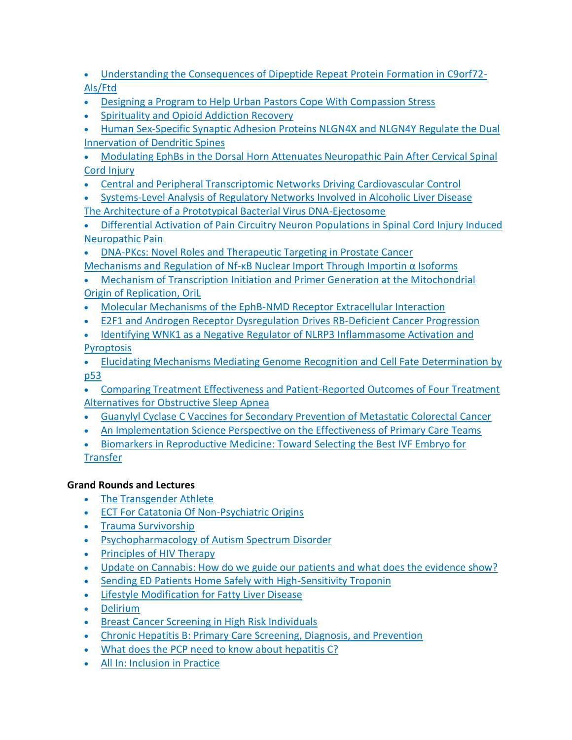- [Understanding the Consequences of Dipeptide Repeat Protein Formation in C9orf72-](https://jdc.jefferson.edu/dissertations/AAI28962246) [Als/Ftd](https://jdc.jefferson.edu/dissertations/AAI28962246)
- [Designing a Program to Help Urban Pastors Cope With Compassion Stress](https://jdc.jefferson.edu/cgi/viewcontent.cgi?article=1020&context=diss_masters)
- [Spirituality and Opioid Addiction Recovery](https://jdc.jefferson.edu/diss_masters/21)
- [Human Sex-Specific Synaptic Adhesion Proteins NLGN4X and NLGN4Y Regulate the Dual](https://jdc.jefferson.edu/dissertations/AAI28869124)  [Innervation of Dendritic Spines](https://jdc.jefferson.edu/dissertations/AAI28869124)
- [Modulating EphBs in the Dorsal Horn Attenuates Neuropathic Pain After Cervical Spinal](https://jdc.jefferson.edu/dissertations/AAI28868187)  [Cord Injury](https://jdc.jefferson.edu/dissertations/AAI28868187)
- [Central and Peripheral Transcriptomic Networks Driving Cardiovascular Control](https://jdc.jefferson.edu/dissertations/AAI28863554)
- [Systems-Level Analysis of Regulatory Networks Involved in Alcoholic Liver Disease](https://jdc.jefferson.edu/dissertations/AAI28776635) [The Architecture of a Prototypical Bacterial Virus DNA-Ejectosome](https://jdc.jefferson.edu/dissertations/AAI28773981)
- Differential Activation of Pain Circuitry Neuron Populations in Spinal Cord Injury Induced [Neuropathic Pain](https://jdc.jefferson.edu/dissertations/AAI28773653)
- [DNA-PKcs: Novel Roles and Therapeutic Targeting in Prostate Cancer](https://jdc.jefferson.edu/dissertations/AAI28771941) Mechanisms and Regulation of Nf-[κB Nuclear Import Through Importin α Isoforms](https://jdc.jefferson.edu/dissertations/AAI28720871)
- [Mechanism of Transcription Initiation and Primer Generation at the Mitochondrial](https://jdc.jefferson.edu/dissertations/AAI28719831)  [Origin of Replication, OriL](https://jdc.jefferson.edu/dissertations/AAI28719831)
- [Molecular Mechanisms of the EphB-NMD Receptor Extracellular Interaction](https://jdc.jefferson.edu/dissertations/AAI28718237)
- [E2F1 and Androgen Receptor Dysregulation Drives RB-Deficient Cancer Progression](https://jdc.jefferson.edu/dissertations/AAI28652255)
- [Identifying WNK1 as a Negative Regulator of NLRP3 Inflammasome Activation and](https://jdc.jefferson.edu/dissertations/AAI28714111)  **[Pyroptosis](https://jdc.jefferson.edu/dissertations/AAI28714111)**
- [Elucidating Mechanisms Mediating Genome Recognition and Cell Fate Determination by](https://jdc.jefferson.edu/dissertations/AAI28646345)  [p53](https://jdc.jefferson.edu/dissertations/AAI28646345)
- [Comparing Treatment Effectiveness and Patient-Reported Outcomes of Four Treatment](https://jdc.jefferson.edu/dissertations/AAI28414878)  [Alternatives for Obstructive Sleep Apnea](https://jdc.jefferson.edu/dissertations/AAI28414878)
- [Guanylyl Cyclase C Vaccines for Secondary Prevention of Metastatic Colorectal Cancer](https://jdc.jefferson.edu/dissertations/AAI28418286)
- [An Implementation Science Perspective on the Effectiveness of Primary Care Teams](https://jdc.jefferson.edu/dissertations/AAI28152809)
- [Biomarkers in Reproductive Medicine: Toward Selecting the Best IVF Embryo for](https://jdc.jefferson.edu/dissertations/AAI27542408)  **[Transfer](https://jdc.jefferson.edu/dissertations/AAI27542408)**

## **Grand Rounds and Lectures**

- [The Transgender Athlete](https://jdc.jefferson.edu/fmlectures/531)
- [ECT For Catatonia Of Non-Psychiatric Origins](https://jdc.jefferson.edu/phbgr/22)
- [Trauma Survivorship](https://jdc.jefferson.edu/surgerygr/218)
- [Psychopharmacology of Autism Spectrum Disorder](https://jdc.jefferson.edu/phbgr/21/)
- Principles of HIV Therapy
- [Update on Cannabis: How do we guide our patients and what does the evidence show?](https://jdc.jefferson.edu/jmbcim_lectures/131)
- [Sending ED Patients Home Safely with High-Sensitivity Troponin](https://jdc.jefferson.edu/phlspoptalk/40)
- [Lifestyle Modification for Fatty Liver Disease](https://jdc.jefferson.edu/fmlectures/525)
- [Delirium](https://jdc.jefferson.edu/fmlectures/524)
- [Breast Cancer Screening in High Risk Individuals](https://jdc.jefferson.edu/fmlectures/513)
- [Chronic Hepatitis B: Primary Care Screening, Diagnosis, and Prevention](https://jdc.jefferson.edu/fmlectures/512)
- [What does the PCP need to know about hepatitis C?](https://jdc.jefferson.edu/fmlectures/511)
- [All In: Inclusion in Practice](https://jdc.jefferson.edu/context/jmbcim_lectures/article/1130/type/native/viewcontent)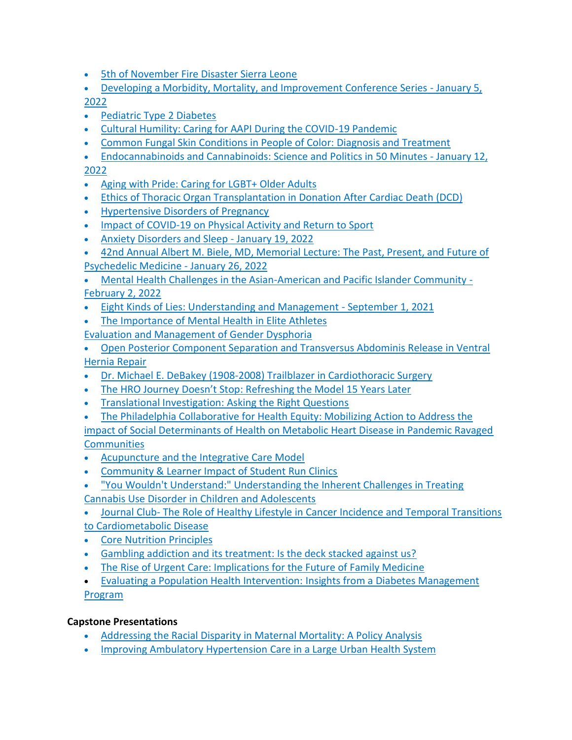- [5th of November Fire Disaster Sierra Leone](https://jdc.jefferson.edu/surgerygr/214)
- [Developing a Morbidity, Mortality, and Improvement Conference Series -](https://jdc.jefferson.edu/phbgr/13) January 5,

[2022](https://jdc.jefferson.edu/phbgr/13)

- [Pediatric Type 2 Diabetes](https://jdc.jefferson.edu/fmlectures/516)
- [Cultural Humility: Caring for AAPI During the COVID-19 Pandemic](https://jdc.jefferson.edu/fmlectures/515)
- [Common Fungal Skin Conditions in People of Color: Diagnosis and Treatment](https://jdc.jefferson.edu/fmlectures/514)
- [Endocannabinoids and Cannabinoids: Science and Politics in 50 Minutes -](https://jdc.jefferson.edu/phbgr/14) January 12, [2022](https://jdc.jefferson.edu/phbgr/14)
- [Aging with Pride: Caring for LGBT+ Older Adults](https://jdc.jefferson.edu/fmlectures/517)
- [Ethics of Thoracic Organ Transplantation in Donation After Cardiac Death \(DCD\)](https://jdc.jefferson.edu/surgerygr/215/)
- [Hypertensive Disorders of Pregnancy](https://jdc.jefferson.edu/fmlectures/520/)
- [Impact of COVID-19 on Physical Activity and Return to Sport](https://jdc.jefferson.edu/fmlectures/519/)
- Anxiety Disorders and Sleep January 19, 2022
- [42nd Annual Albert M. Biele, MD, Memorial Lecture: The Past, Present, and Future of](https://jdc.jefferson.edu/phbgr/15/)  [Psychedelic Medicine -](https://jdc.jefferson.edu/phbgr/15/) January 26, 2022
- [Mental Health Challenges in the Asian-American and Pacific Islander Community -](https://jdc.jefferson.edu/phbgr/18) [February 2, 2022](https://jdc.jefferson.edu/phbgr/18)
- [Eight Kinds of Lies: Understanding and Management -](https://jdc.jefferson.edu/phbgr/17) September 1, 2021
- [The Importance of Mental Health in Elite Athletes](https://jdc.jefferson.edu/fmlectures/521)
- [Evaluation and Management of Gender Dysphoria](https://jdc.jefferson.edu/fmlectures/522/)
- [Open Posterior Component Separation and Transversus Abdominis Release in Ventral](https://jdc.jefferson.edu/surgerygr/216)  [Hernia Repair](https://jdc.jefferson.edu/surgerygr/216)
- [Dr. Michael E. DeBakey \(1908-2008\) Trailblazer in Cardiothoracic Surgery](https://jdc.jefferson.edu/gibbonsocietyprofiles/56)
- [The HRO Journey Doesn't Stop: Refreshing the Model 15 Years Later](https://jdc.jefferson.edu/phlspoptalk/38)
- [Translational Investigation: Asking the Right Questions](https://jdc.jefferson.edu/surgerygr/217/)
- [The Philadelphia Collaborative for Health Equity: Mobilizing Action to Address the](https://jdc.jefferson.edu/fmlectures/523/)

[impact of Social Determinants of Health on Metabolic Heart Disease in Pandemic Ravaged](https://jdc.jefferson.edu/fmlectures/523/)  **[Communities](https://jdc.jefferson.edu/fmlectures/523/)** 

- [Acupuncture and the Integrative Care Model](https://jdc.jefferson.edu/jmbcim_lectures/130/)
- [Community & Learner Impact of Student Run Clinics](https://jdc.jefferson.edu/fmlectures/526)
- ["You Wouldn't Understand:" Understanding the Inherent Challenges in Treating](https://jdc.jefferson.edu/phbgr/19)  Cannabis Use [Disorder in Children and Adolescents](https://jdc.jefferson.edu/phbgr/19)

• Journal Club- [The Role of Healthy Lifestyle in Cancer Incidence and Temporal Transitions](https://jdc.jefferson.edu/fmlectures/527)  [to Cardiometabolic Disease](https://jdc.jefferson.edu/fmlectures/527)

- [Core Nutrition Principles](https://jdc.jefferson.edu/fmlectures/528)
- [Gambling addiction and its treatment: Is the deck stacked against us?](https://jdc.jefferson.edu/phbgr/20)
- [The Rise of Urgent Care: Implications for the Future of Family Medicine](https://jdc.jefferson.edu/fmlectures/529)
- [Evaluating a Population Health Intervention:](https://jdc.jefferson.edu/phlspoptalk/39/) Insights from a Diabetes Management [Program](https://jdc.jefferson.edu/phlspoptalk/39/)

# **Capstone Presentations**

- [Addressing the Racial Disparity in Maternal Mortality: A Policy Analysis](https://jdc.jefferson.edu/mshp/22)
- [Improving Ambulatory Hypertension](https://jdc.jefferson.edu/ms_hqs/68) Care in a Large Urban Health System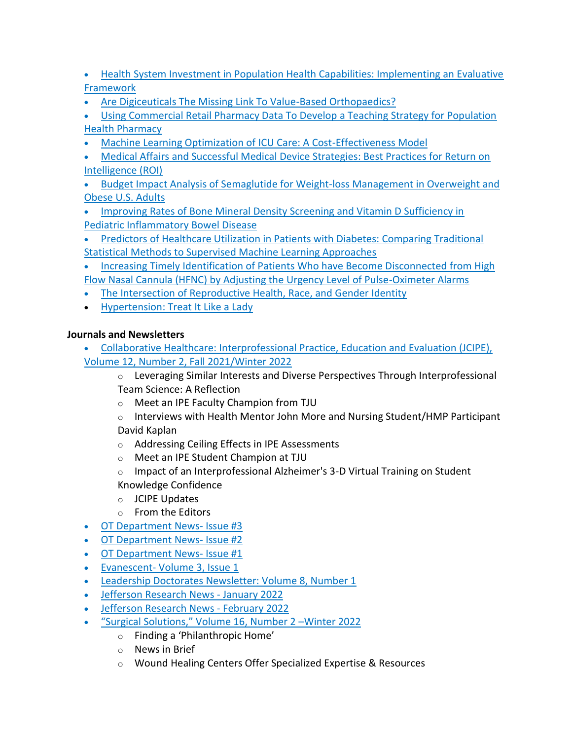• [Health System Investment in Population Health Capabilities: Implementing an Evaluative](https://jdc.jefferson.edu/pophealthprogram/26)  [Framework](https://jdc.jefferson.edu/pophealthprogram/26)

• [Are Digiceuticals The Missing Link To Value-Based Orthopaedics?](https://jdc.jefferson.edu/pophealthprogram/25)

• [Using Commercial Retail Pharmacy Data To Develop a Teaching Strategy for Population](https://jdc.jefferson.edu/pophealthprogram/24)  [Health Pharmacy](https://jdc.jefferson.edu/pophealthprogram/24)

- [Machine Learning Optimization of ICU Care: A Cost-Effectiveness Model](https://jdc.jefferson.edu/msaheor/23)
- [Medical Affairs and Successful Medical Device Strategies: Best Practices for Return on](https://jdc.jefferson.edu/msaheor/22)  [Intelligence \(ROI\)](https://jdc.jefferson.edu/msaheor/22)
- [Budget Impact Analysis of Semaglutide for Weight-loss Management in Overweight and](https://jdc.jefferson.edu/msaheor/21)  [Obese U.S. Adults](https://jdc.jefferson.edu/msaheor/21)
- [Improving Rates of Bone Mineral Density Screening and Vitamin D Sufficiency in](https://jdc.jefferson.edu/ms_hqs/67)  [Pediatric Inflammatory Bowel Disease](https://jdc.jefferson.edu/ms_hqs/67)
- [Predictors of Healthcare Utilization in Patients with Diabetes: Comparing Traditional](https://jdc.jefferson.edu/ms_hds/4)  [Statistical Methods to Supervised Machine Learning Approaches](https://jdc.jefferson.edu/ms_hds/4)

• [Increasing Timely Identification of Patients Who have Become Disconnected from High](https://jdc.jefferson.edu/ms_hqs/66)  [Flow Nasal Cannula \(HFNC\) by Adjusting the Urgency Level of Pulse-Oximeter Alarms](https://jdc.jefferson.edu/ms_hqs/66)

- [The Intersection of Reproductive Health, Race, and Gender Identity](https://jdc.jefferson.edu/fmlectures/518/)
- [Hypertension: Treat It Like a Lady](https://jdc.jefferson.edu/pche/1/)

# **Journals and Newsletters**

- [Collaborative Healthcare: Interprofessional Practice, Education and Evaluation \(JCIPE\),](https://jdc.jefferson.edu/jcipe/vol12/iss2/1)  [Volume 12, Number 2, Fall 2021/Winter 2022](https://jdc.jefferson.edu/jcipe/vol12/iss2/1)
	- $\circ$  Leveraging Similar Interests and Diverse Perspectives Through Interprofessional Team Science: A Reflection
	- o Meet an IPE Faculty Champion from TJU
	- $\circ$  Interviews with Health Mentor John More and Nursing Student/HMP Participant David Kaplan
	- o Addressing Ceiling Effects in IPE Assessments
	- o [Meet an IPE Student Champion at TJU](https://jdc.jefferson.edu/jcipe/vol12/iss2/5)
	- $\circ$  Impact of an Interprofessional Alzheimer's 3-D Virtual Training on Student Knowledge Confidence
	- o JCIPE Updates
	- o From the Editors
- [OT Department News-](https://jdc.jefferson.edu/otnews/4) Issue #3
- [OT Department News-](https://jdc.jefferson.edu/otnews/3) Issue #2
- [OT Department News-](https://jdc.jefferson.edu/otnews/1) Issue #1
- Evanescent- [Volume 3, Issue 1](https://jdc.jefferson.edu/evanescent/vol3/iss1/1)
- [Leadership Doctorates Newsletter: Volume 8, Number 1](https://jdc.jefferson.edu/sln/21)
- [Jefferson Research News -](https://jdc.jefferson.edu/researchnewsletter/28) January 2022
- [Jefferson Research News -](https://jdc.jefferson.edu/researchnewsletter/29/) February 2022
- "Surgical Solutions," Volume 16, Number 2 –Winter 2022
	- o Finding a 'Philanthropic Home'
	- o [News in Brief](https://jdc.jefferson.edu/jss/vol16/iss2/8)
	- o [Wound Healing Centers Offer Specialized Expertise & Resources](https://jdc.jefferson.edu/jss/vol16/iss2/6)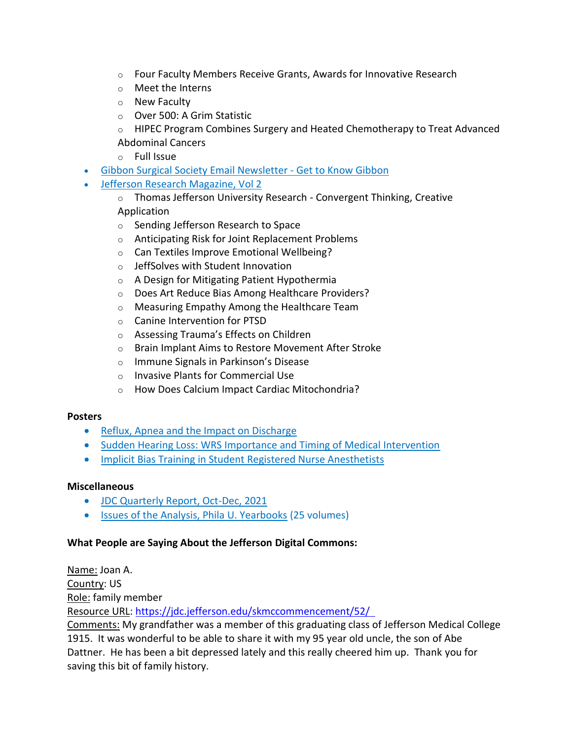- $\circ$  [Four Faculty Members Receive Grants, Awards for Innovative Research](https://jdc.jefferson.edu/jss/vol16/iss2/5)
- o Meet the Interns
- o [New Faculty](https://jdc.jefferson.edu/jss/vol16/iss2/3)
- o Over 500: A Grim Statistic
- $\circ$  HIPEC Program Combines Surgery and Heated Chemotherapy to Treat Advanced [Abdominal Cancers](https://jdc.jefferson.edu/jss/vol16/iss2/1)
- o Full Issue
- [Gibbon Surgical Society Email Newsletter -](https://jdc.jefferson.edu/gssnewsletter/1/) Get to Know Gibbon
- [Jefferson Research Magazine, Vol 2](https://jdc.jefferson.edu/researchmagazine/vol2/)
	- o Thomas Jefferson University Research Convergent Thinking, Creative Application
	- o Sending Jefferson Research to Space
	- o Anticipating Risk for Joint Replacement Problems
	- o Can Textiles Improve Emotional Wellbeing?
	- o JeffSolves with Student Innovation
	- o A Design for Mitigating Patient Hypothermia
	- o Does Art Reduce Bias Among Healthcare Providers?
	- o Measuring Empathy Among the Healthcare Team
	- o Canine Intervention for PTSD
	- o Assessing Trauma's Effects on Children
	- o Brain Implant Aims to Restore Movement After Stroke
	- o Immune Signals in Parkinson's Disease
	- o Invasive Plants for Commercial Use
	- o How Does Calcium Impact Cardiac Mitochondria?

### **Posters**

- [Reflux, Apnea and the Impact on Discharge](https://jdc.jefferson.edu/nursingposters/25)
- [Sudden Hearing Loss: WRS Importance and Timing of Medical Intervention](https://jdc.jefferson.edu/ariaposters/3)
- [Implicit Bias Training in Student Registered Nurse Anesthetists](https://jdc.jefferson.edu/nursingposters/26)

### **Miscellaneous**

- [JDC Quarterly Report, Oct-Dec, 2021](https://jdc.jefferson.edu/jdcreports/37)
- [Issues of the Analysis, Phila U. Yearbooks](https://jdc.jefferson.edu/analysis/) (25 volumes)

### **What People are Saying About the Jefferson Digital Commons:**

Name: Joan A. Country: US Role: family member Resource URL: [https://jdc.jefferson.edu/skmccommencement/52/](https://jdc.jefferson.edu/skmccommencement/52/  ) 

Comments: My grandfather was a member of this graduating class of Jefferson Medical College 1915.  It was wonderful to be able to share it with my 95 year old uncle, the son of Abe Dattner.  He has been a bit depressed lately and this really cheered him up.  Thank you for saving this bit of family history.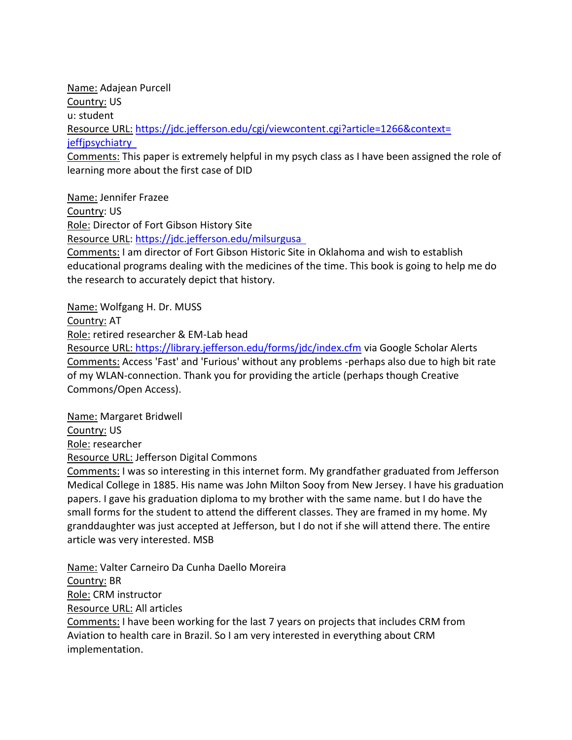Name: Adajean Purcell Country: US u: student Resource URL: [https://jdc.jefferson.edu/cgi/viewcontent.cgi?article=1266&context=](https://jdc.jefferson.edu/cgi/viewcontent.cgi?article=1266&context=%20jeffjpsychiatry  )  [jeffjpsychiatry](https://jdc.jefferson.edu/cgi/viewcontent.cgi?article=1266&context=%20jeffjpsychiatry  )  Comments: This paper is extremely helpful in my psych class as I have been assigned the role of

learning more about the first case of DID

Name: Jennifer Frazee Country: US Role: Director of Fort Gibson History Site Resource URL: [https://jdc.jefferson.edu/milsurgusa](https://jdc.jefferson.edu/milsurgusa  ) 

Comments: I am director of Fort Gibson Historic Site in Oklahoma and wish to establish educational programs dealing with the medicines of the time. This book is going to help me do the research to accurately depict that history.

Name: Wolfgang H. Dr. MUSS

Country: AT

Role: retired researcher & EM-Lab head

Resource URL:<https://library.jefferson.edu/forms/jdc/index.cfm> via Google Scholar Alerts Comments: Access 'Fast' and 'Furious' without any problems -perhaps also due to high bit rate of my WLAN-connection. Thank you for providing the article (perhaps though Creative Commons/Open Access).

Name: Margaret Bridwell Country: US Role: researcher Resource URL: Jefferson Digital Commons

Comments: I was so interesting in this internet form. My grandfather graduated from Jefferson Medical College in 1885. His name was John Milton Sooy from New Jersey. I have his graduation papers. I gave his graduation diploma to my brother with the same name. but I do have the small forms for the student to attend the different classes. They are framed in my home. My granddaughter was just accepted at Jefferson, but I do not if she will attend there. The entire article was very interested. MSB

Name: Valter Carneiro Da Cunha Daello Moreira Country: BR Role: CRM instructor Resource URL: All articles

Comments: I have been working for the last 7 years on projects that includes CRM from Aviation to health care in Brazil. So I am very interested in everything about CRM implementation.